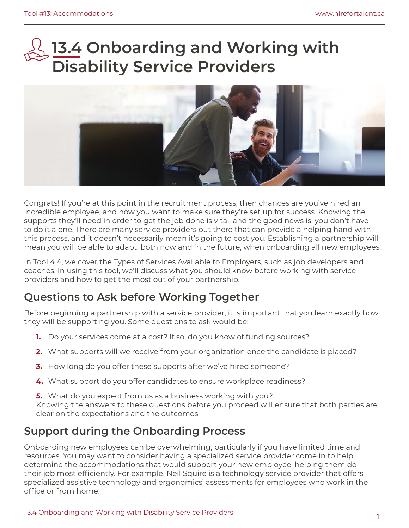# **13.4 Onboarding and Working with Disability Service Providers**



Congrats! If you're at this point in the recruitment process, then chances are you've hired an incredible employee, and now you want to make sure they're set up for success. Knowing the supports they'll need in order to get the job done is vital, and the good news is, you don't have to do it alone. There are many service providers out there that can provide a helping hand with this process, and it doesn't necessarily mean it's going to cost you. Establishing a partnership will mean you will be able to adapt, both now and in the future, when onboarding all new employees.

In Tool 4.4, we cover the Types of Services Available to Employers, such as job developers and coaches. In using this tool, we'll discuss what you should know before working with service providers and how to get the most out of your partnership.

### **Questions to Ask before Working Together**

Before beginning a partnership with a service provider, it is important that you learn exactly how they will be supporting you. Some questions to ask would be:

- **1.** Do your services come at a cost? If so, do you know of funding sources?
- **2.** What supports will we receive from your organization once the candidate is placed?
- **3.** How long do you offer these supports after we've hired someone?
- **4.** What support do you offer candidates to ensure workplace readiness?
- **5.** What do you expect from us as a business working with you?

Knowing the answers to these questions before you proceed will ensure that both parties are clear on the expectations and the outcomes.

### **Support during the Onboarding Process**

Onboarding new employees can be overwhelming, particularly if you have limited time and resources. You may want to consider having a specialized service provider come in to help determine the accommodations that would support your new employee, helping them do their job most efficiently. For example, Neil Squire is a technology service provider that offers specialized assistive technology and ergonomics<sup>1</sup> assessments for employees who work in the offce or from home.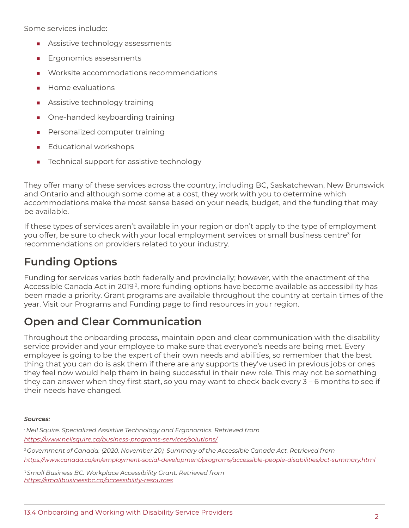Some services include:

- Assistive technology assessments
- Ergonomics assessments
- Worksite accommodations recommendations
- Home evaluations
- Assistive technology training
- One-handed keyboarding training
- Personalized computer training
- Educational workshops
- Technical support for assistive technology

They offer many of these services across the country, including BC, Saskatchewan, New Brunswick and Ontario and although some come at a cost, they work with you to determine which accommodations make the most sense based on your needs, budget, and the funding that may be available.

If these types of services aren't available in your region or don't apply to the type of employment you offer, be sure to check with your local employment services or small business centre<sup>3</sup> for recommendations on providers related to your industry.

# **Funding Options**

Funding for services varies both federally and provincially; however, with the enactment of the Accessible Canada Act in 2019 2, more funding options have become available as accessibility has been made a priority. Grant programs are available throughout the country at certain times of the year. Visit our Programs and Funding page to find resources in your region.

# **Open and Clear Communication**

Throughout the onboarding process, maintain open and clear communication with the disability service provider and your employee to make sure that everyone's needs are being met. Every employee is going to be the expert of their own needs and abilities, so remember that the best thing that you can do is ask them if there are any supports they've used in previous jobs or ones they feel now would help them in being successful in their new role. This may not be something they can answer when they first start, so you may want to check back every  $3 - 6$  months to see if their needs have changed.

#### *Sources:*

*1 Neil Squire. Specialized Assistive Technology and Ergonomics. Retrieved from [https://www.neilsquire.ca/business-programs-services/solutions/](https://www.neilsquire.ca/business-programs-services/solutions)* 

*2 Government of Canada. (2020, November 20). Summary of the Accessible Canada Act. Retrieved from <https://www.canada.ca/en/employment-social-development/programs/accessible-people-disabilities/act-summary.html>* 

*3 Small Business BC. Workplace Accessibility Grant. Retrieved from <https://smallbusinessbc.ca/accessibility-resources>*